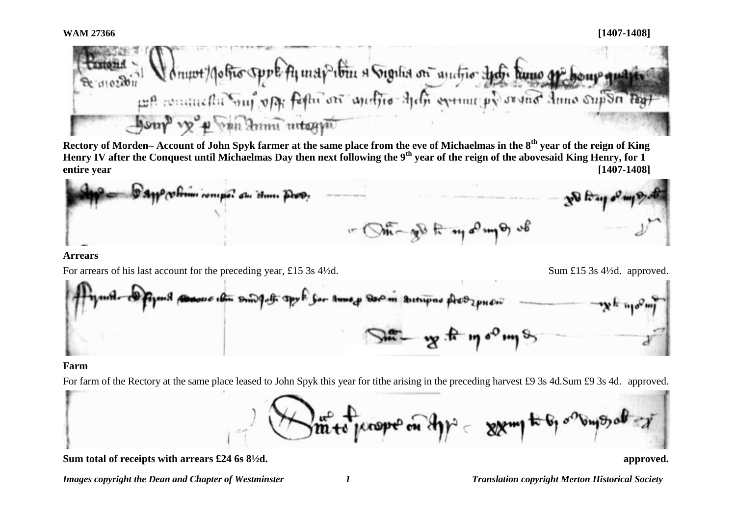

**Rectory of Morden– Account of John Spyk farmer at the same place from the eve of Michaelmas in the 8th year of the reign of King Henry IV after the Conquest until Michaelmas Day then next following the 9th year of the reign of the abovesaid King Henry, for 1 entire year [1407-1408]**

obrom compo du Home Drop  $\bigcirc$   $\pi$   $\sqrt{2}$   $\pi$   $\pi$   $\sqrt{2}$   $\pi$   $\sqrt{2}$   $\pi$ 

**Arrears**

For arrears of his last account for the preceding year, £15 3s 4½d. Sum £15 3s 4½d. approved.

Gor Smog Doom Bitupno Acozpusi docso cha Donald office

### **Farm**

For farm of the Rectory at the same place leased to John Spyk this year for tithe arising in the preceding harvest £9 3s 4d.Sum £9 3s 4d. approved.



**Sum total of receipts with arrears £24 6s 8½d. approved.**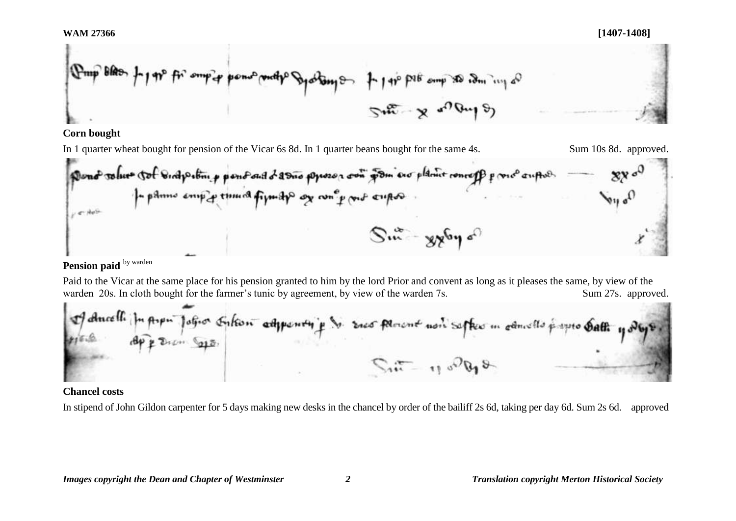$$
\int_{\mathcal{D}^{4}} \mathbb{E} \left[ \frac{1}{2} \int_{\mathcal{D}^{4}} \mathbb{E} \left[ \frac{1}{2} \int_{\mathcal{D}^{4}} \left( \frac{1}{2} \int_{\mathcal{D}^{4}} \frac{1}{2} \int_{\mathcal{D}^{4}} \frac{1}{2} \int_{\mathcal{D}^{4}} \frac{1}{2} \int_{\mathcal{D}^{4}} \frac{1}{2} \int_{\mathcal{D}^{4}} \frac{1}{2} \int_{\mathcal{D}^{4}} \frac{1}{2} \int_{\mathcal{D}^{4}} \frac{1}{2} \int_{\mathcal{D}^{4}} \frac{1}{2} \int_{\mathcal{D}^{4}} \frac{1}{2} \int_{\mathcal{D}^{4}} \frac{1}{2} \int_{\mathcal{D}^{4}} \frac{1}{2} \int_{\mathcal{D}^{4}} \frac{1}{2} \int_{\mathcal{D}^{4}} \frac{1}{2} \int_{\mathcal{D}^{4}} \frac{1}{2} \int_{\mathcal{D}^{4}} \frac{1}{2} \int_{\mathcal{D}^{4}} \frac{1}{2} \int_{\mathcal{D}^{4}} \frac{1}{2} \int_{\mathcal{D}^{4}} \frac{1}{2} \int_{\mathcal{D}^{4}} \frac{1}{2} \int_{\mathcal{D}^{4}} \frac{1}{2} \int_{\mathcal{D}^{4}} \frac{1}{2} \int_{\mathcal{D}^{4}} \frac{1}{2} \int_{\mathcal{D}^{4}} \frac{1}{2} \int_{\mathcal{D}^{4}} \frac{1}{2} \int_{\mathcal{D}^{4}} \frac{1}{2} \int_{\mathcal{D}^{4}} \frac{1}{2} \int_{\mathcal{D}^{4}} \frac{1}{2} \int_{\mathcal{D}^{4}} \frac{1}{2} \int_{\mathcal{D}^{4}} \frac{1}{2} \int_{\mathcal{D}^{4}} \frac{1}{2} \int_{\mathcal{D}^{4}} \frac{1}{2} \int_{\mathcal{D}^{4}} \frac{1}{2} \int_{\mathcal{D}^{4}} \frac{1}{2} \int_{\mathcal{D}^{4}} \frac{1}{2} \int_{\mathcal{D}^{4}} \frac{1}{2} \int_{\mathcal{D}^{4}} \frac{1}{
$$

## **Corn bought**

In 1 quarter wheat bought for pension of the Vicar 6s 8d. In 1 quarter beans bought for the same 4s. Sum 10s 8d. approved.

# **Pension paid** by warden

Paid to the Vicar at the same place for his pension granted to him by the lord Prior and convent as long as it pleases the same, by view of the warden 20s. In cloth bought for the farmer's tunic by agreement, by view of the warden 7s. Sum 27s. approved.



### **Chancel costs**

In stipend of John Gildon carpenter for 5 days making new desks in the chancel by order of the bailiff 2s 6d, taking per day 6d. Sum 2s 6d. approved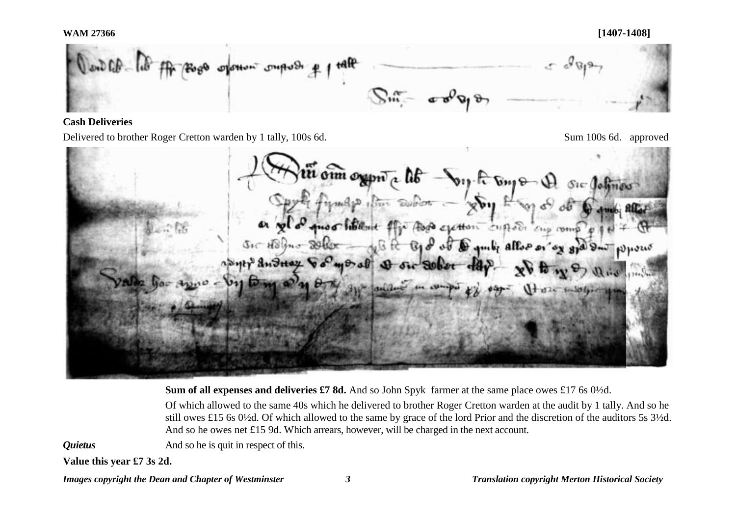#### **WAM 27366 [1407-1408]**



### **Cash Deliveries**

Delivered to brother Roger Cretton warden by 1 tally, 100s 6d. Compared Sum 100s 6d. approved

oun organ a lib by A by &  $Sic$  defines quoo hollant flip Asp exetton cuptor cup comp  $\sigma$  to the mo of of a guilty allow or by god on WHOUS  $H^3$  and  $H$ **Bak Garrent** 

**Sum of all expenses and deliveries £7 8d.** And so John Spyk farmer at the same place owes £17 6s 0½d.

Of which allowed to the same 40s which he delivered to brother Roger Cretton warden at the audit by 1 tally. And so he still owes £15 6s 0½d. Of which allowed to the same by grace of the lord Prior and the discretion of the auditors 5s 3½d. And so he owes net £15 9d. Which arrears, however, will be charged in the next account.

*Quietus* And so he is quit in respect of this.

**Value this year £7 3s 2d.**

*Images copyright the Dean and Chapter of Westminster 3 Translation copyright Merton Historical Society*